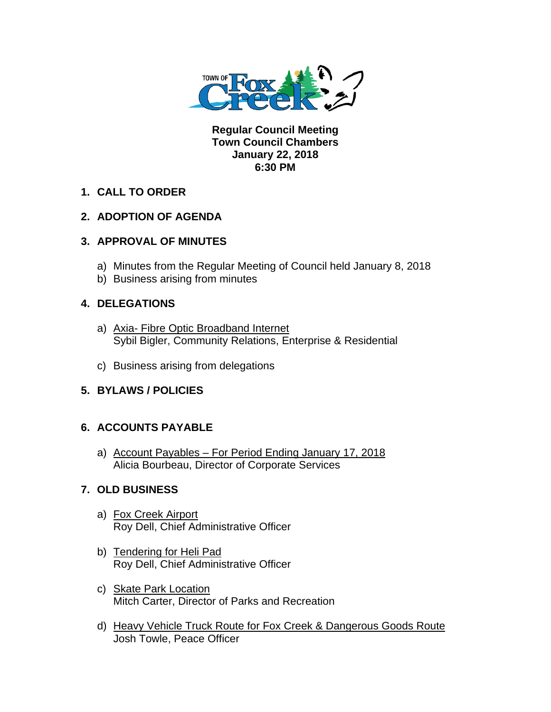

**Regular Council Meeting Town Council Chambers January 22, 2018 6:30 PM** 

## **1. CALL TO ORDER**

## **2. ADOPTION OF AGENDA**

### **3. APPROVAL OF MINUTES**

- a) Minutes from the Regular Meeting of Council held January 8, 2018
- b) Business arising from minutes

### **4. DELEGATIONS**

- a) Axia- Fibre Optic Broadband Internet Sybil Bigler, Community Relations, Enterprise & Residential
- c) Business arising from delegations

## **5. BYLAWS / POLICIES**

## **6. ACCOUNTS PAYABLE**

a) Account Payables – For Period Ending January 17, 2018 Alicia Bourbeau, Director of Corporate Services

## **7. OLD BUSINESS**

- a) Fox Creek Airport Roy Dell, Chief Administrative Officer
- b) Tendering for Heli Pad Roy Dell, Chief Administrative Officer
- c) Skate Park Location Mitch Carter, Director of Parks and Recreation
- d) Heavy Vehicle Truck Route for Fox Creek & Dangerous Goods Route Josh Towle, Peace Officer